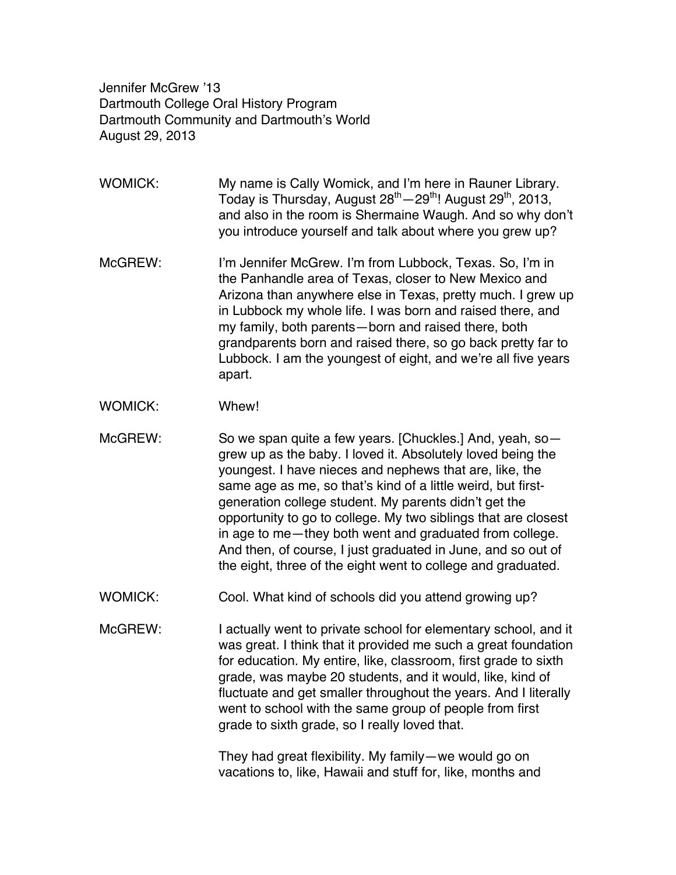Jennifer McGrew '13 Dartmouth College Oral History Program Dartmouth Community and Dartmouth's World August 29, 2013

WOMICK: My name is Cally Womick, and I'm here in Rauner Library. Today is Thursday, August 28<sup>th</sup> - 29<sup>th</sup>! August 29<sup>th</sup>, 2013, and also in the room is Shermaine Waugh. And so why don't you introduce yourself and talk about where you grew up?

- McGREW: I'm Jennifer McGrew. I'm from Lubbock, Texas. So, I'm in the Panhandle area of Texas, closer to New Mexico and Arizona than anywhere else in Texas, pretty much. I grew up in Lubbock my whole life. I was born and raised there, and my family, both parents—born and raised there, both grandparents born and raised there, so go back pretty far to Lubbock. I am the youngest of eight, and we're all five years apart.
- WOMICK: Whew!

McGREW: So we span quite a few years. [Chuckles.] And, yeah, sogrew up as the baby. I loved it. Absolutely loved being the youngest. I have nieces and nephews that are, like, the same age as me, so that's kind of a little weird, but firstgeneration college student. My parents didn't get the opportunity to go to college. My two siblings that are closest in age to me—they both went and graduated from college. And then, of course, I just graduated in June, and so out of the eight, three of the eight went to college and graduated.

- WOMICK: Cool. What kind of schools did you attend growing up?
- McGREW: I actually went to private school for elementary school, and it was great. I think that it provided me such a great foundation for education. My entire, like, classroom, first grade to sixth grade, was maybe 20 students, and it would, like, kind of fluctuate and get smaller throughout the years. And I literally went to school with the same group of people from first grade to sixth grade, so I really loved that.

They had great flexibility. My family—we would go on vacations to, like, Hawaii and stuff for, like, months and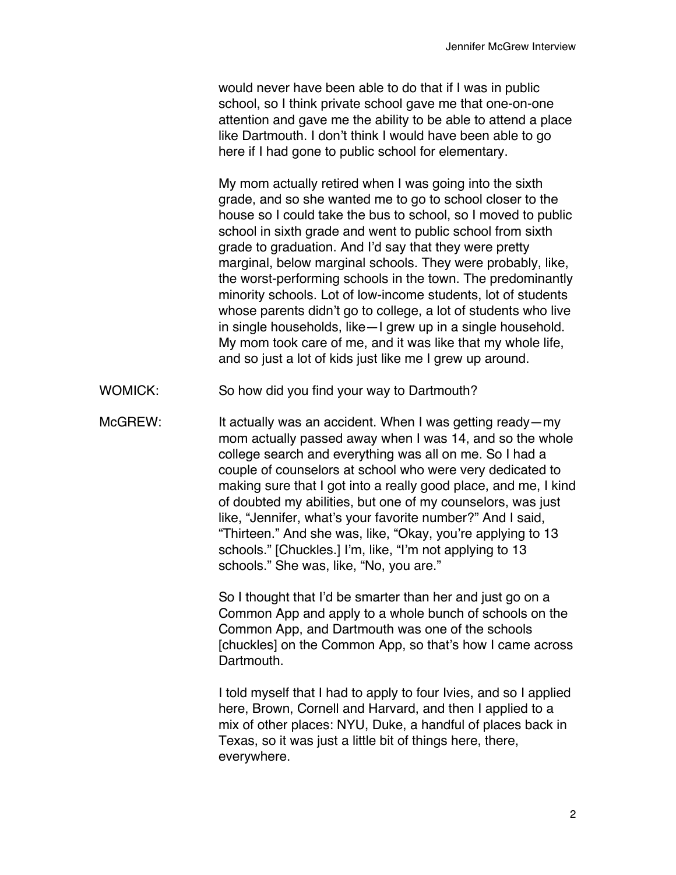would never have been able to do that if I was in public school, so I think private school gave me that one-on-one attention and gave me the ability to be able to attend a place like Dartmouth. I don't think I would have been able to go here if I had gone to public school for elementary.

My mom actually retired when I was going into the sixth grade, and so she wanted me to go to school closer to the house so I could take the bus to school, so I moved to public school in sixth grade and went to public school from sixth grade to graduation. And I'd say that they were pretty marginal, below marginal schools. They were probably, like, the worst-performing schools in the town. The predominantly minority schools. Lot of low-income students, lot of students whose parents didn't go to college, a lot of students who live in single households, like—I grew up in a single household. My mom took care of me, and it was like that my whole life, and so just a lot of kids just like me I grew up around.

- WOMICK: So how did you find your way to Dartmouth?
- McGREW: It actually was an accident. When I was getting ready—my mom actually passed away when I was 14, and so the whole college search and everything was all on me. So I had a couple of counselors at school who were very dedicated to making sure that I got into a really good place, and me, I kind of doubted my abilities, but one of my counselors, was just like, "Jennifer, what's your favorite number?" And I said, "Thirteen." And she was, like, "Okay, you're applying to 13 schools." [Chuckles.] I'm, like, "I'm not applying to 13 schools." She was, like, "No, you are."

So I thought that I'd be smarter than her and just go on a Common App and apply to a whole bunch of schools on the Common App, and Dartmouth was one of the schools [chuckles] on the Common App, so that's how I came across Dartmouth.

I told myself that I had to apply to four Ivies, and so I applied here, Brown, Cornell and Harvard, and then I applied to a mix of other places: NYU, Duke, a handful of places back in Texas, so it was just a little bit of things here, there, everywhere.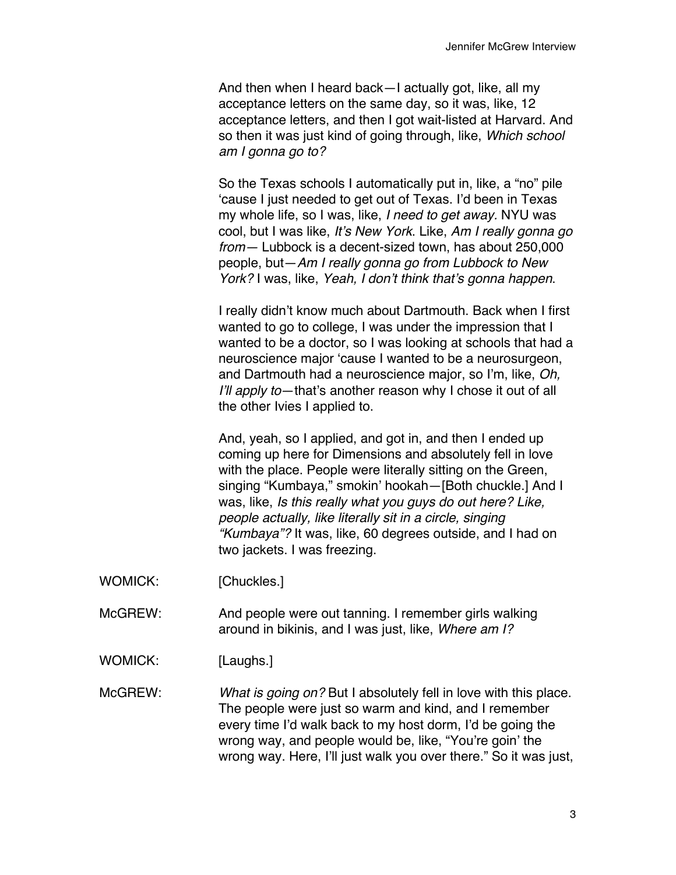And then when I heard back—I actually got, like, all my acceptance letters on the same day, so it was, like, 12 acceptance letters, and then I got wait-listed at Harvard. And so then it was just kind of going through, like, *Which school am I gonna go to?*

So the Texas schools I automatically put in, like, a "no" pile 'cause I just needed to get out of Texas. I'd been in Texas my whole life, so I was, like, *I need to get away.* NYU was cool, but I was like, *It's New York*. Like, *Am I really gonna go from—* Lubbock is a decent-sized town, has about 250,000 people, but—*Am I really gonna go from Lubbock to New York?* I was, like, *Yeah, I don't think that's gonna happen*.

I really didn't know much about Dartmouth. Back when I first wanted to go to college, I was under the impression that I wanted to be a doctor, so I was looking at schools that had a neuroscience major 'cause I wanted to be a neurosurgeon, and Dartmouth had a neuroscience major, so I'm, like, *Oh, I'll apply to*—that's another reason why I chose it out of all the other Ivies I applied to.

And, yeah, so I applied, and got in, and then I ended up coming up here for Dimensions and absolutely fell in love with the place. People were literally sitting on the Green, singing "Kumbaya," smokin' hookah—[Both chuckle.] And I was, like, *Is this really what you guys do out here? Like, people actually, like literally sit in a circle, singing "Kumbaya"?* It was, like, 60 degrees outside, and I had on two jackets. I was freezing.

- WOMICK: [Chuckles.]
- McGREW: And people were out tanning. I remember girls walking around in bikinis, and I was just, like, *Where am I?*
- WOMICK: [Laughs.]

McGREW: *What is going on?* But I absolutely fell in love with this place. The people were just so warm and kind, and I remember every time I'd walk back to my host dorm, I'd be going the wrong way, and people would be, like, "You're goin' the wrong way. Here, I'll just walk you over there." So it was just,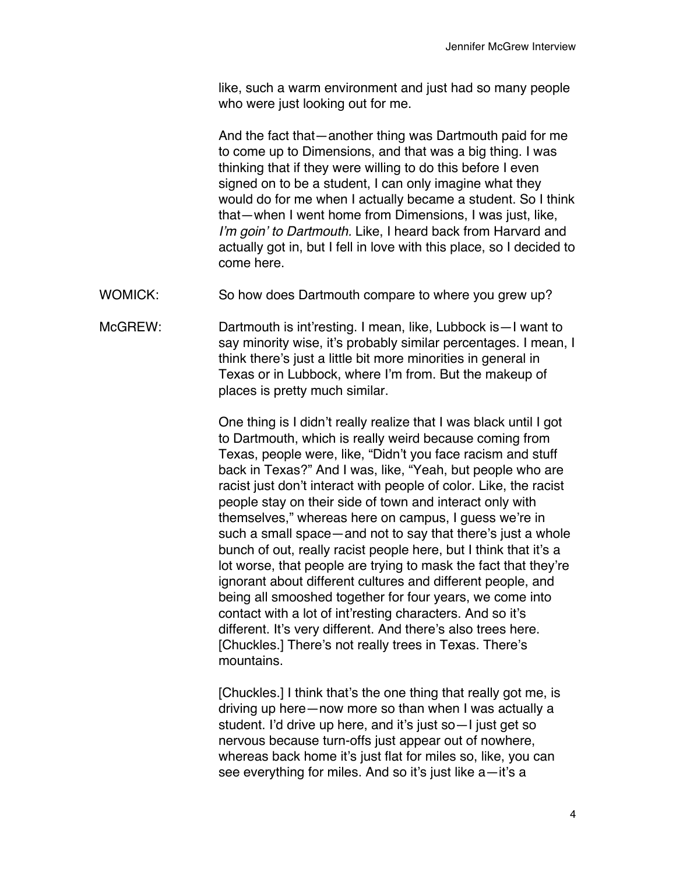like, such a warm environment and just had so many people who were just looking out for me.

And the fact that—another thing was Dartmouth paid for me to come up to Dimensions, and that was a big thing. I was thinking that if they were willing to do this before I even signed on to be a student, I can only imagine what they would do for me when I actually became a student. So I think that—when I went home from Dimensions, I was just, like, *I'm goin' to Dartmouth.* Like, I heard back from Harvard and actually got in, but I fell in love with this place, so I decided to come here.

- WOMICK: So how does Dartmouth compare to where you grew up?
- McGREW: Dartmouth is int'resting. I mean, like, Lubbock is—I want to say minority wise, it's probably similar percentages. I mean, I think there's just a little bit more minorities in general in Texas or in Lubbock, where I'm from. But the makeup of places is pretty much similar.

One thing is I didn't really realize that I was black until I got to Dartmouth, which is really weird because coming from Texas, people were, like, "Didn't you face racism and stuff back in Texas?" And I was, like, "Yeah, but people who are racist just don't interact with people of color. Like, the racist people stay on their side of town and interact only with themselves," whereas here on campus, I guess we're in such a small space—and not to say that there's just a whole bunch of out, really racist people here, but I think that it's a lot worse, that people are trying to mask the fact that they're ignorant about different cultures and different people, and being all smooshed together for four years, we come into contact with a lot of int'resting characters. And so it's different. It's very different. And there's also trees here. [Chuckles.] There's not really trees in Texas. There's mountains.

[Chuckles.] I think that's the one thing that really got me, is driving up here—now more so than when I was actually a student. I'd drive up here, and it's just so—I just get so nervous because turn-offs just appear out of nowhere, whereas back home it's just flat for miles so, like, you can see everything for miles. And so it's just like a-it's a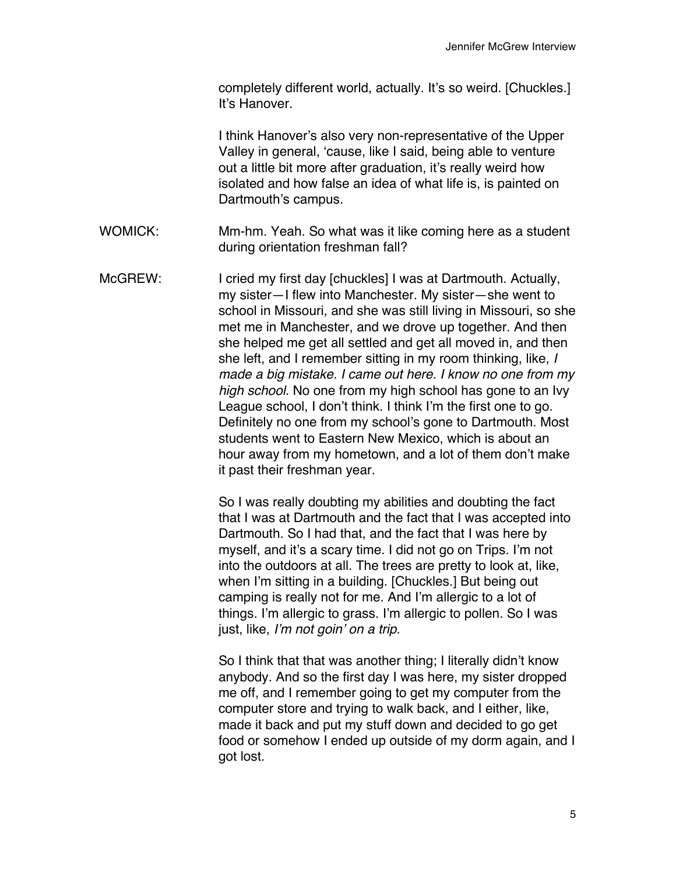completely different world, actually. It's so weird. [Chuckles.] It's Hanover.

I think Hanover's also very non-representative of the Upper Valley in general, 'cause, like I said, being able to venture out a little bit more after graduation, it's really weird how isolated and how false an idea of what life is, is painted on Dartmouth's campus.

- WOMICK: Mm-hm. Yeah. So what was it like coming here as a student during orientation freshman fall?
- McGREW: I cried my first day [chuckles] I was at Dartmouth. Actually, my sister—I flew into Manchester. My sister—she went to school in Missouri, and she was still living in Missouri, so she met me in Manchester, and we drove up together. And then she helped me get all settled and get all moved in, and then she left, and I remember sitting in my room thinking, like, *I made a big mistake. I came out here. I know no one from my high school.* No one from my high school has gone to an Ivy League school, I don't think. I think I'm the first one to go. Definitely no one from my school's gone to Dartmouth. Most students went to Eastern New Mexico, which is about an hour away from my hometown, and a lot of them don't make it past their freshman year.

So I was really doubting my abilities and doubting the fact that I was at Dartmouth and the fact that I was accepted into Dartmouth. So I had that, and the fact that I was here by myself, and it's a scary time. I did not go on Trips. I'm not into the outdoors at all. The trees are pretty to look at, like, when I'm sitting in a building. [Chuckles.] But being out camping is really not for me. And I'm allergic to a lot of things. I'm allergic to grass. I'm allergic to pollen. So I was just, like, *I'm not goin' on a trip*.

So I think that that was another thing; I literally didn't know anybody. And so the first day I was here, my sister dropped me off, and I remember going to get my computer from the computer store and trying to walk back, and I either, like, made it back and put my stuff down and decided to go get food or somehow I ended up outside of my dorm again, and I got lost.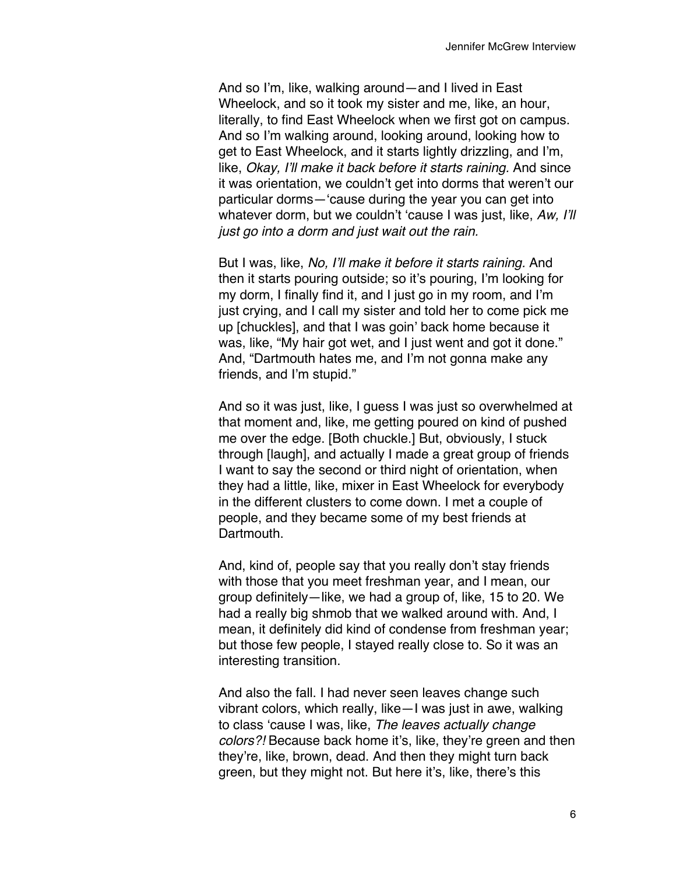And so I'm, like, walking around—and I lived in East Wheelock, and so it took my sister and me, like, an hour, literally, to find East Wheelock when we first got on campus. And so I'm walking around, looking around, looking how to get to East Wheelock, and it starts lightly drizzling, and I'm, like, *Okay, I'll make it back before it starts raining.* And since it was orientation, we couldn't get into dorms that weren't our particular dorms—'cause during the year you can get into whatever dorm, but we couldn't 'cause I was just, like, *Aw, I'll just go into a dorm and just wait out the rain.*

But I was, like, *No, I'll make it before it starts raining.* And then it starts pouring outside; so it's pouring, I'm looking for my dorm, I finally find it, and I just go in my room, and I'm just crying, and I call my sister and told her to come pick me up [chuckles], and that I was goin' back home because it was, like, "My hair got wet, and I just went and got it done." And, "Dartmouth hates me, and I'm not gonna make any friends, and I'm stupid."

And so it was just, like, I guess I was just so overwhelmed at that moment and, like, me getting poured on kind of pushed me over the edge. [Both chuckle.] But, obviously, I stuck through [laugh], and actually I made a great group of friends I want to say the second or third night of orientation, when they had a little, like, mixer in East Wheelock for everybody in the different clusters to come down. I met a couple of people, and they became some of my best friends at Dartmouth.

And, kind of, people say that you really don't stay friends with those that you meet freshman year, and I mean, our group definitely—like, we had a group of, like, 15 to 20. We had a really big shmob that we walked around with. And, I mean, it definitely did kind of condense from freshman year; but those few people, I stayed really close to. So it was an interesting transition.

And also the fall. I had never seen leaves change such vibrant colors, which really, like—I was just in awe, walking to class 'cause I was, like, *The leaves actually change colors?!* Because back home it's, like, they're green and then they're, like, brown, dead. And then they might turn back green, but they might not. But here it's, like, there's this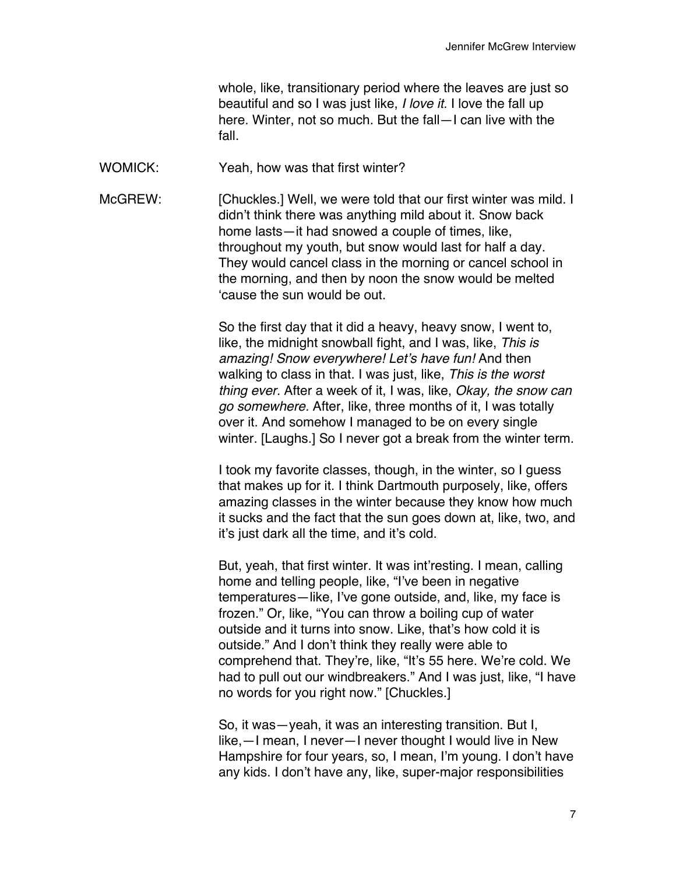whole, like, transitionary period where the leaves are just so beautiful and so I was just like, *I love it.* I love the fall up here. Winter, not so much. But the fall—I can live with the fall.

WOMICK: Yeah, how was that first winter?

McGREW: [Chuckles.] Well, we were told that our first winter was mild. I didn't think there was anything mild about it. Snow back home lasts—it had snowed a couple of times, like, throughout my youth, but snow would last for half a day. They would cancel class in the morning or cancel school in the morning, and then by noon the snow would be melted 'cause the sun would be out.

> So the first day that it did a heavy, heavy snow, I went to, like, the midnight snowball fight, and I was, like, *This is amazing! Snow everywhere! Let's have fun!* And then walking to class in that. I was just, like, *This is the worst thing ever.* After a week of it, I was, like, *Okay, the snow can go somewhere.* After, like, three months of it, I was totally over it. And somehow I managed to be on every single winter. [Laughs.] So I never got a break from the winter term.

> I took my favorite classes, though, in the winter, so I guess that makes up for it. I think Dartmouth purposely, like, offers amazing classes in the winter because they know how much it sucks and the fact that the sun goes down at, like, two, and it's just dark all the time, and it's cold.

> But, yeah, that first winter. It was int'resting. I mean, calling home and telling people, like, "I've been in negative temperatures—like, I've gone outside, and, like, my face is frozen." Or, like, "You can throw a boiling cup of water outside and it turns into snow. Like, that's how cold it is outside." And I don't think they really were able to comprehend that. They're, like, "It's 55 here. We're cold. We had to pull out our windbreakers." And I was just, like, "I have no words for you right now." [Chuckles.]

> So, it was—yeah, it was an interesting transition. But I, like,—I mean, I never—I never thought I would live in New Hampshire for four years, so, I mean, I'm young. I don't have any kids. I don't have any, like, super-major responsibilities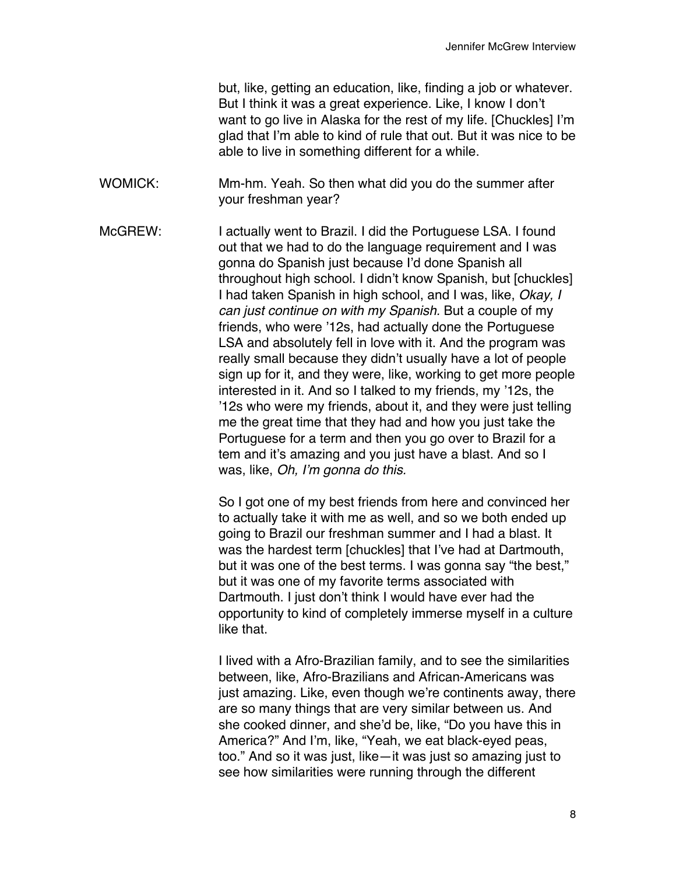but, like, getting an education, like, finding a job or whatever. But I think it was a great experience. Like, I know I don't want to go live in Alaska for the rest of my life. [Chuckles] I'm glad that I'm able to kind of rule that out. But it was nice to be able to live in something different for a while.

WOMICK: Mm-hm. Yeah. So then what did you do the summer after your freshman year?

McGREW: I actually went to Brazil. I did the Portuguese LSA. I found out that we had to do the language requirement and I was gonna do Spanish just because I'd done Spanish all throughout high school. I didn't know Spanish, but [chuckles] I had taken Spanish in high school, and I was, like, *Okay, I can just continue on with my Spanish.* But a couple of my friends, who were '12s, had actually done the Portuguese LSA and absolutely fell in love with it. And the program was really small because they didn't usually have a lot of people sign up for it, and they were, like, working to get more people interested in it. And so I talked to my friends, my '12s, the '12s who were my friends, about it, and they were just telling me the great time that they had and how you just take the Portuguese for a term and then you go over to Brazil for a tem and it's amazing and you just have a blast. And so I was, like, *Oh, I'm gonna do this.*

> So I got one of my best friends from here and convinced her to actually take it with me as well, and so we both ended up going to Brazil our freshman summer and I had a blast. It was the hardest term [chuckles] that I've had at Dartmouth, but it was one of the best terms. I was gonna say "the best," but it was one of my favorite terms associated with Dartmouth. I just don't think I would have ever had the opportunity to kind of completely immerse myself in a culture like that.

> I lived with a Afro-Brazilian family, and to see the similarities between, like, Afro-Brazilians and African-Americans was just amazing. Like, even though we're continents away, there are so many things that are very similar between us. And she cooked dinner, and she'd be, like, "Do you have this in America?" And I'm, like, "Yeah, we eat black-eyed peas, too." And so it was just, like—it was just so amazing just to see how similarities were running through the different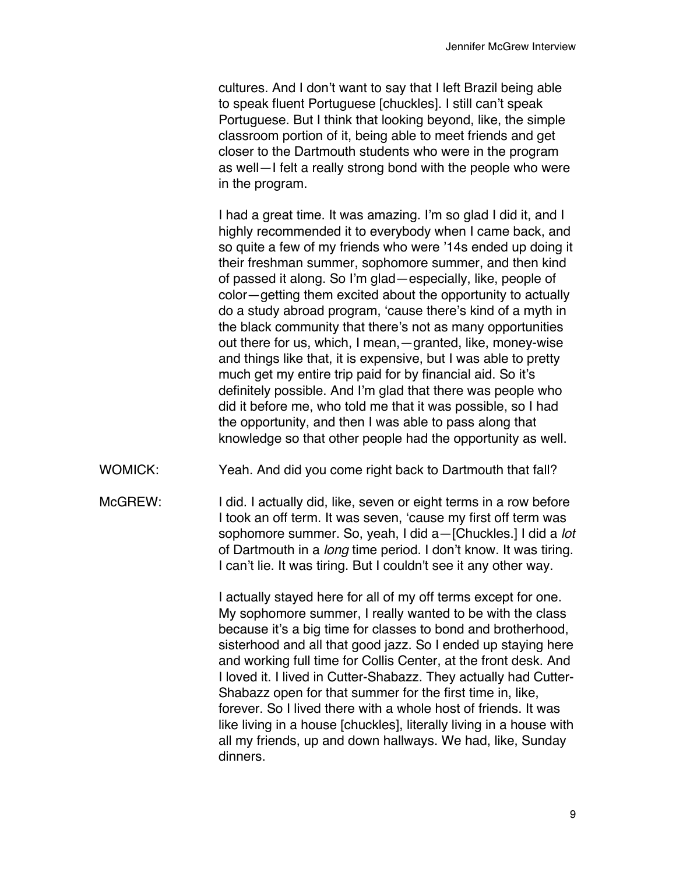cultures. And I don't want to say that I left Brazil being able to speak fluent Portuguese [chuckles]. I still can't speak Portuguese. But I think that looking beyond, like, the simple classroom portion of it, being able to meet friends and get closer to the Dartmouth students who were in the program as well—I felt a really strong bond with the people who were in the program.

I had a great time. It was amazing. I'm so glad I did it, and I highly recommended it to everybody when I came back, and so quite a few of my friends who were '14s ended up doing it their freshman summer, sophomore summer, and then kind of passed it along. So I'm glad—especially, like, people of color—getting them excited about the opportunity to actually do a study abroad program, 'cause there's kind of a myth in the black community that there's not as many opportunities out there for us, which, I mean,—granted, like, money-wise and things like that, it is expensive, but I was able to pretty much get my entire trip paid for by financial aid. So it's definitely possible. And I'm glad that there was people who did it before me, who told me that it was possible, so I had the opportunity, and then I was able to pass along that knowledge so that other people had the opportunity as well.

- WOMICK: Yeah. And did you come right back to Dartmouth that fall?
- McGREW: I did. I actually did, like, seven or eight terms in a row before I took an off term. It was seven, 'cause my first off term was sophomore summer. So, yeah, I did a—[Chuckles.] I did a *lot*  of Dartmouth in a *long* time period. I don't know. It was tiring. I can't lie. It was tiring. But I couldn't see it any other way.

I actually stayed here for all of my off terms except for one. My sophomore summer, I really wanted to be with the class because it's a big time for classes to bond and brotherhood, sisterhood and all that good jazz. So I ended up staying here and working full time for Collis Center, at the front desk. And I loved it. I lived in Cutter-Shabazz. They actually had Cutter-Shabazz open for that summer for the first time in, like, forever. So I lived there with a whole host of friends. It was like living in a house [chuckles], literally living in a house with all my friends, up and down hallways. We had, like, Sunday dinners.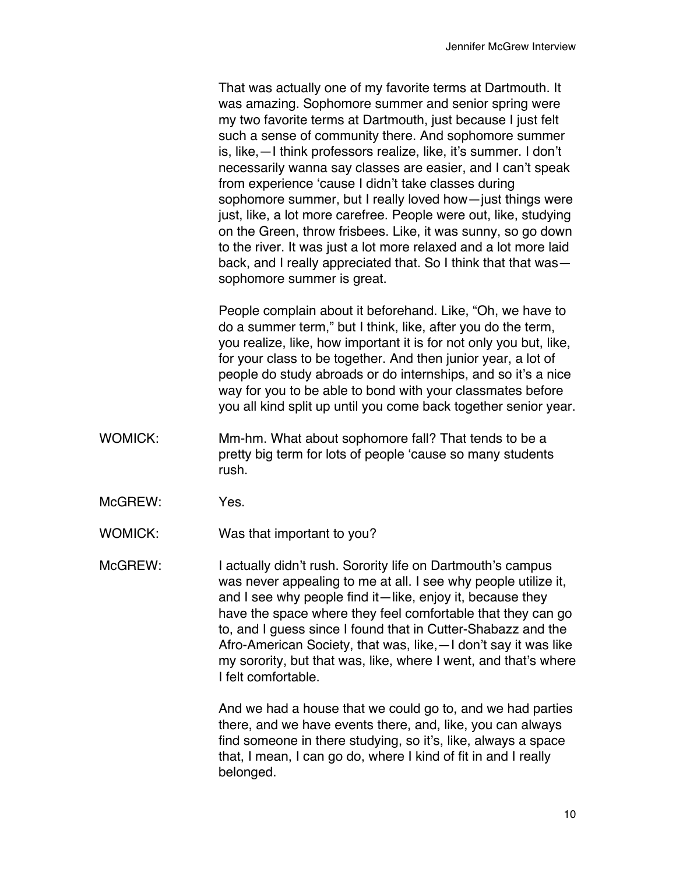That was actually one of my favorite terms at Dartmouth. It was amazing. Sophomore summer and senior spring were my two favorite terms at Dartmouth, just because I just felt such a sense of community there. And sophomore summer is, like,—I think professors realize, like, it's summer. I don't necessarily wanna say classes are easier, and I can't speak from experience 'cause I didn't take classes during sophomore summer, but I really loved how—just things were just, like, a lot more carefree. People were out, like, studying on the Green, throw frisbees. Like, it was sunny, so go down to the river. It was just a lot more relaxed and a lot more laid back, and I really appreciated that. So I think that that was sophomore summer is great.

People complain about it beforehand. Like, "Oh, we have to do a summer term," but I think, like, after you do the term, you realize, like, how important it is for not only you but, like, for your class to be together. And then junior year, a lot of people do study abroads or do internships, and so it's a nice way for you to be able to bond with your classmates before you all kind split up until you come back together senior year.

- WOMICK: Mm-hm. What about sophomore fall? That tends to be a pretty big term for lots of people 'cause so many students rush.
- McGREW: Yes.

WOMICK: Was that important to you?

McGREW: I actually didn't rush. Sorority life on Dartmouth's campus was never appealing to me at all. I see why people utilize it, and I see why people find it—like, enjoy it, because they have the space where they feel comfortable that they can go to, and I guess since I found that in Cutter-Shabazz and the Afro-American Society, that was, like,—I don't say it was like my sorority, but that was, like, where I went, and that's where I felt comfortable.

> And we had a house that we could go to, and we had parties there, and we have events there, and, like, you can always find someone in there studying, so it's, like, always a space that, I mean, I can go do, where I kind of fit in and I really belonged.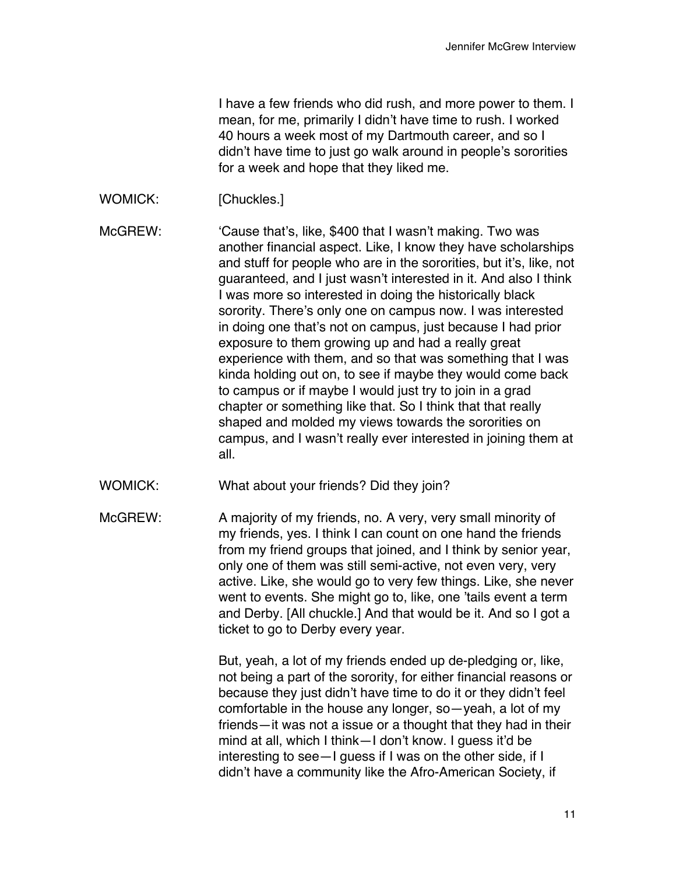I have a few friends who did rush, and more power to them. I mean, for me, primarily I didn't have time to rush. I worked 40 hours a week most of my Dartmouth career, and so I didn't have time to just go walk around in people's sororities for a week and hope that they liked me.

WOMICK: [Chuckles.]

McGREW: 'Cause that's, like, \$400 that I wasn't making. Two was another financial aspect. Like, I know they have scholarships and stuff for people who are in the sororities, but it's, like, not guaranteed, and I just wasn't interested in it. And also I think I was more so interested in doing the historically black sorority. There's only one on campus now. I was interested in doing one that's not on campus, just because I had prior exposure to them growing up and had a really great experience with them, and so that was something that I was kinda holding out on, to see if maybe they would come back to campus or if maybe I would just try to join in a grad chapter or something like that. So I think that that really shaped and molded my views towards the sororities on campus, and I wasn't really ever interested in joining them at all.

- WOMICK: What about your friends? Did they join?
- McGREW: A majority of my friends, no. A very, very small minority of my friends, yes. I think I can count on one hand the friends from my friend groups that joined, and I think by senior year, only one of them was still semi-active, not even very, very active. Like, she would go to very few things. Like, she never went to events. She might go to, like, one 'tails event a term and Derby. [All chuckle.] And that would be it. And so I got a ticket to go to Derby every year.

But, yeah, a lot of my friends ended up de-pledging or, like, not being a part of the sorority, for either financial reasons or because they just didn't have time to do it or they didn't feel comfortable in the house any longer, so—yeah, a lot of my friends—it was not a issue or a thought that they had in their mind at all, which I think—I don't know. I guess it'd be interesting to see—I guess if I was on the other side, if I didn't have a community like the Afro-American Society, if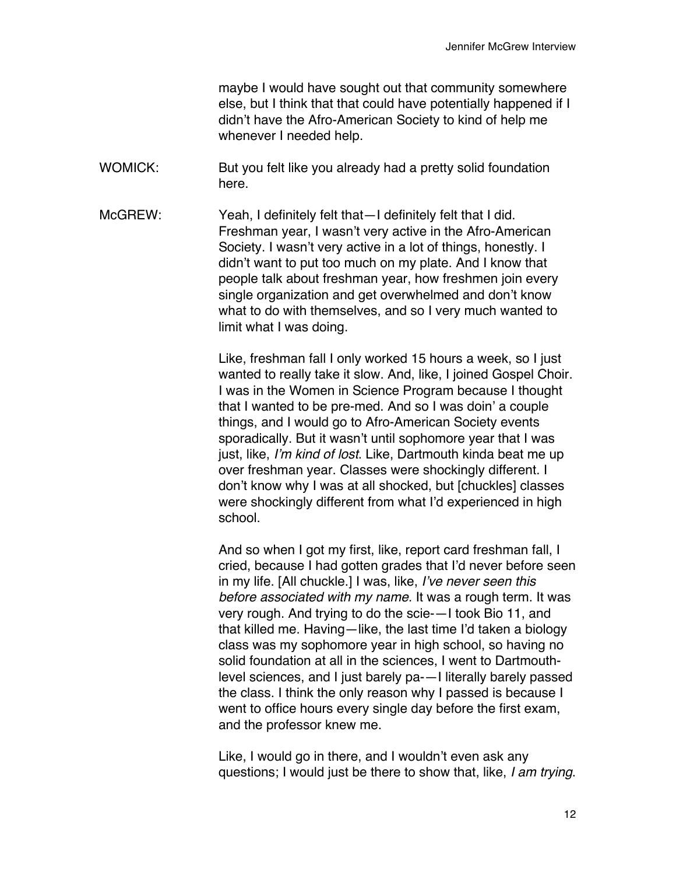maybe I would have sought out that community somewhere else, but I think that that could have potentially happened if I didn't have the Afro-American Society to kind of help me whenever I needed help.

- WOMICK: But you felt like you already had a pretty solid foundation here.
- McGREW: Yeah, I definitely felt that—I definitely felt that I did. Freshman year, I wasn't very active in the Afro-American Society. I wasn't very active in a lot of things, honestly. I didn't want to put too much on my plate. And I know that people talk about freshman year, how freshmen join every single organization and get overwhelmed and don't know what to do with themselves, and so I very much wanted to limit what I was doing.

Like, freshman fall I only worked 15 hours a week, so I just wanted to really take it slow. And, like, I joined Gospel Choir. I was in the Women in Science Program because I thought that I wanted to be pre-med. And so I was doin' a couple things, and I would go to Afro-American Society events sporadically. But it wasn't until sophomore year that I was just, like, *I'm kind of lost*. Like, Dartmouth kinda beat me up over freshman year. Classes were shockingly different. I don't know why I was at all shocked, but [chuckles] classes were shockingly different from what I'd experienced in high school.

And so when I got my first, like, report card freshman fall, I cried, because I had gotten grades that I'd never before seen in my life. [All chuckle.] I was, like, *I've never seen this before associated with my name.* It was a rough term. It was very rough. And trying to do the scie-—I took Bio 11, and that killed me. Having—like, the last time I'd taken a biology class was my sophomore year in high school, so having no solid foundation at all in the sciences, I went to Dartmouthlevel sciences, and I just barely pa-—I literally barely passed the class. I think the only reason why I passed is because I went to office hours every single day before the first exam, and the professor knew me.

Like, I would go in there, and I wouldn't even ask any questions; I would just be there to show that, like, *I am trying*.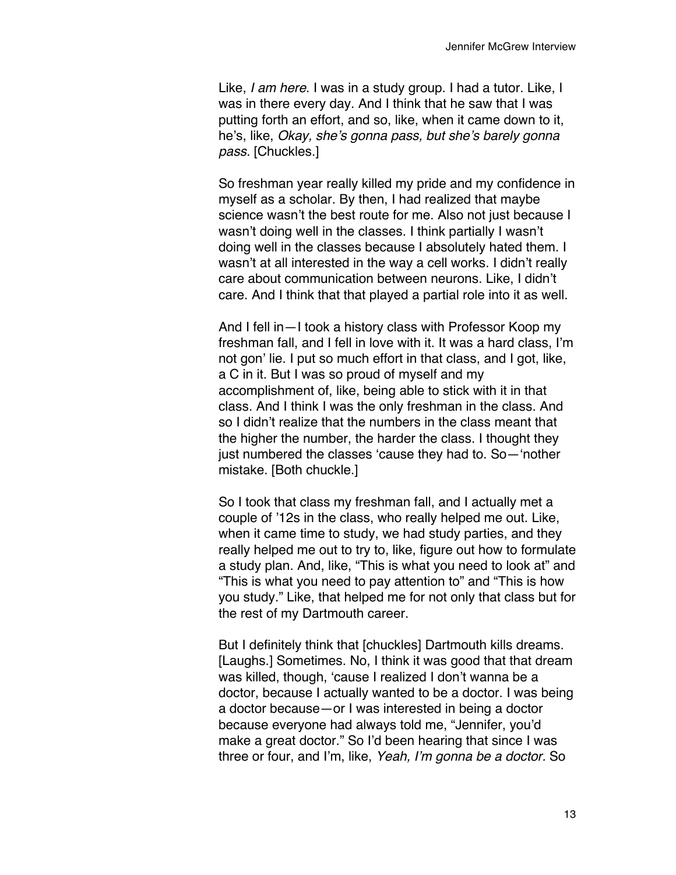Like, *I am here*. I was in a study group. I had a tutor. Like, I was in there every day. And I think that he saw that I was putting forth an effort, and so, like, when it came down to it, he's, like, *Okay, she's gonna pass, but she's barely gonna pass.* [Chuckles.]

So freshman year really killed my pride and my confidence in myself as a scholar. By then, I had realized that maybe science wasn't the best route for me. Also not just because I wasn't doing well in the classes. I think partially I wasn't doing well in the classes because I absolutely hated them. I wasn't at all interested in the way a cell works. I didn't really care about communication between neurons. Like, I didn't care. And I think that that played a partial role into it as well.

And I fell in—I took a history class with Professor Koop my freshman fall, and I fell in love with it. It was a hard class, I'm not gon' lie. I put so much effort in that class, and I got, like, a C in it. But I was so proud of myself and my accomplishment of, like, being able to stick with it in that class. And I think I was the only freshman in the class. And so I didn't realize that the numbers in the class meant that the higher the number, the harder the class. I thought they just numbered the classes 'cause they had to. So—'nother mistake. [Both chuckle.]

So I took that class my freshman fall, and I actually met a couple of '12s in the class, who really helped me out. Like, when it came time to study, we had study parties, and they really helped me out to try to, like, figure out how to formulate a study plan. And, like, "This is what you need to look at" and "This is what you need to pay attention to" and "This is how you study." Like, that helped me for not only that class but for the rest of my Dartmouth career.

But I definitely think that [chuckles] Dartmouth kills dreams. [Laughs.] Sometimes. No, I think it was good that that dream was killed, though, 'cause I realized I don't wanna be a doctor, because I actually wanted to be a doctor. I was being a doctor because—or I was interested in being a doctor because everyone had always told me, "Jennifer, you'd make a great doctor." So I'd been hearing that since I was three or four, and I'm, like, *Yeah, I'm gonna be a doctor.* So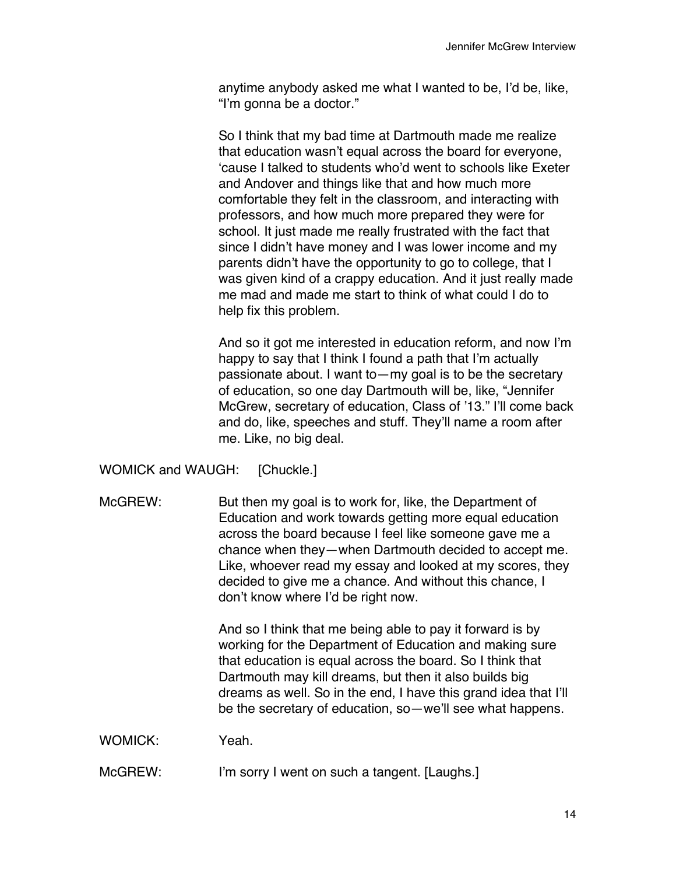anytime anybody asked me what I wanted to be, I'd be, like, "I'm gonna be a doctor."

So I think that my bad time at Dartmouth made me realize that education wasn't equal across the board for everyone, 'cause I talked to students who'd went to schools like Exeter and Andover and things like that and how much more comfortable they felt in the classroom, and interacting with professors, and how much more prepared they were for school. It just made me really frustrated with the fact that since I didn't have money and I was lower income and my parents didn't have the opportunity to go to college, that I was given kind of a crappy education. And it just really made me mad and made me start to think of what could I do to help fix this problem.

And so it got me interested in education reform, and now I'm happy to say that I think I found a path that I'm actually passionate about. I want to—my goal is to be the secretary of education, so one day Dartmouth will be, like, "Jennifer McGrew, secretary of education, Class of '13." I'll come back and do, like, speeches and stuff. They'll name a room after me. Like, no big deal.

WOMICK and WAUGH: [Chuckle.]

McGREW: But then my goal is to work for, like, the Department of Education and work towards getting more equal education across the board because I feel like someone gave me a chance when they—when Dartmouth decided to accept me. Like, whoever read my essay and looked at my scores, they decided to give me a chance. And without this chance, I don't know where I'd be right now.

> And so I think that me being able to pay it forward is by working for the Department of Education and making sure that education is equal across the board. So I think that Dartmouth may kill dreams, but then it also builds big dreams as well. So in the end, I have this grand idea that I'll be the secretary of education, so—we'll see what happens.

WOMICK: Yeah.

McGREW: I'm sorry I went on such a tangent. [Laughs.]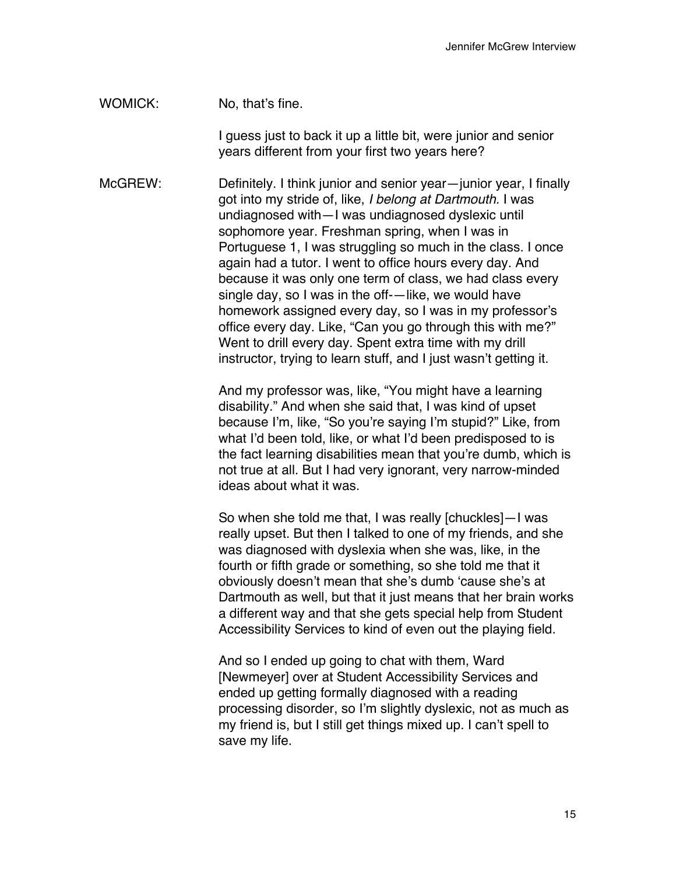WOMICK: No. that's fine.

I guess just to back it up a little bit, were junior and senior years different from your first two years here?

McGREW: Definitely. I think junior and senior year—junior year, I finally got into my stride of, like, *I belong at Dartmouth.* I was undiagnosed with—I was undiagnosed dyslexic until sophomore year. Freshman spring, when I was in Portuguese 1, I was struggling so much in the class. I once again had a tutor. I went to office hours every day. And because it was only one term of class, we had class every single day, so I was in the off-—like, we would have homework assigned every day, so I was in my professor's office every day. Like, "Can you go through this with me?" Went to drill every day. Spent extra time with my drill instructor, trying to learn stuff, and I just wasn't getting it.

> And my professor was, like, "You might have a learning disability." And when she said that, I was kind of upset because I'm, like, "So you're saying I'm stupid?" Like, from what I'd been told, like, or what I'd been predisposed to is the fact learning disabilities mean that you're dumb, which is not true at all. But I had very ignorant, very narrow-minded ideas about what it was.

> So when she told me that, I was really [chuckles]—I was really upset. But then I talked to one of my friends, and she was diagnosed with dyslexia when she was, like, in the fourth or fifth grade or something, so she told me that it obviously doesn't mean that she's dumb 'cause she's at Dartmouth as well, but that it just means that her brain works a different way and that she gets special help from Student Accessibility Services to kind of even out the playing field.

And so I ended up going to chat with them, Ward [Newmeyer] over at Student Accessibility Services and ended up getting formally diagnosed with a reading processing disorder, so I'm slightly dyslexic, not as much as my friend is, but I still get things mixed up. I can't spell to save my life.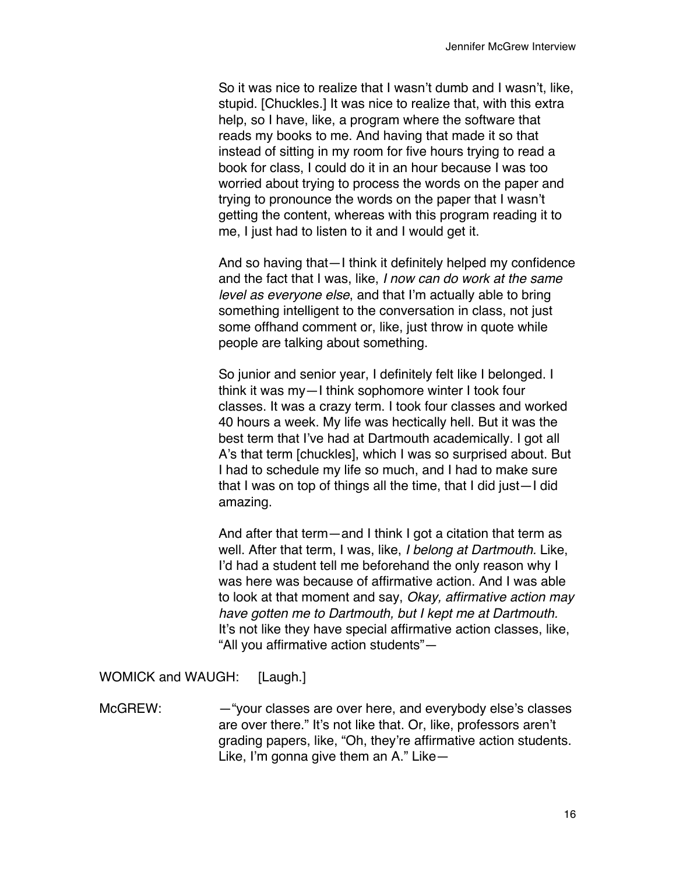So it was nice to realize that I wasn't dumb and I wasn't, like, stupid. [Chuckles.] It was nice to realize that, with this extra help, so I have, like, a program where the software that reads my books to me. And having that made it so that instead of sitting in my room for five hours trying to read a book for class, I could do it in an hour because I was too worried about trying to process the words on the paper and trying to pronounce the words on the paper that I wasn't getting the content, whereas with this program reading it to me, I just had to listen to it and I would get it.

And so having that—I think it definitely helped my confidence and the fact that I was, like, *I now can do work at the same level as everyone else*, and that I'm actually able to bring something intelligent to the conversation in class, not just some offhand comment or, like, just throw in quote while people are talking about something.

So junior and senior year, I definitely felt like I belonged. I think it was my—I think sophomore winter I took four classes. It was a crazy term. I took four classes and worked 40 hours a week. My life was hectically hell. But it was the best term that I've had at Dartmouth academically. I got all A's that term [chuckles], which I was so surprised about. But I had to schedule my life so much, and I had to make sure that I was on top of things all the time, that I did just—I did amazing.

And after that term—and I think I got a citation that term as well. After that term, I was, like, *I belong at Dartmouth.* Like, I'd had a student tell me beforehand the only reason why I was here was because of affirmative action. And I was able to look at that moment and say, *Okay, affirmative action may have gotten me to Dartmouth, but I kept me at Dartmouth.*  It's not like they have special affirmative action classes, like, "All you affirmative action students"—

WOMICK and WAUGH: [Laugh.]

McGREW: —"your classes are over here, and everybody else's classes are over there." It's not like that. Or, like, professors aren't grading papers, like, "Oh, they're affirmative action students. Like, I'm gonna give them an A." Like—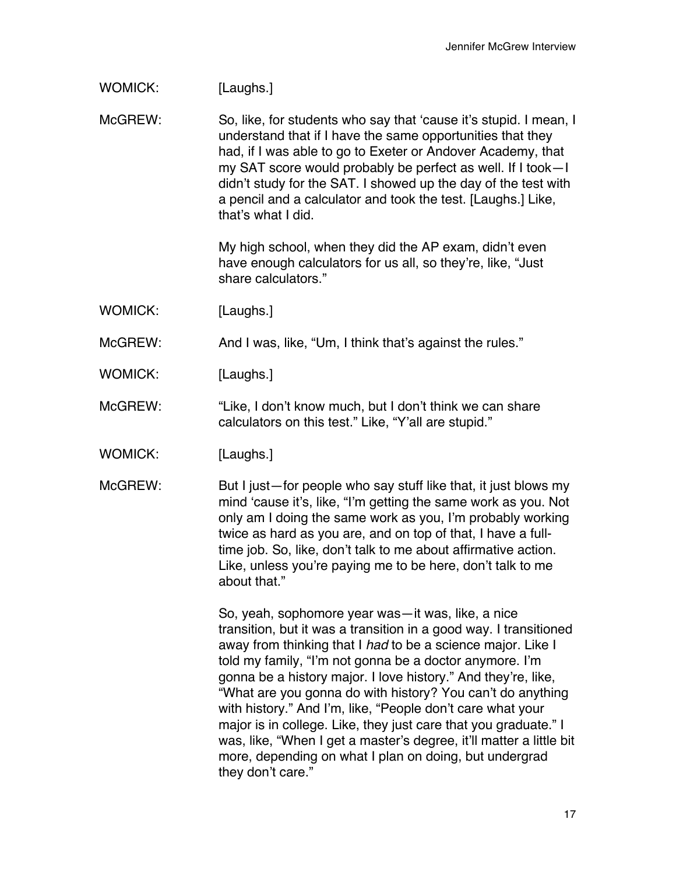| <b>WOMICK:</b> | [Laughs.] |
|----------------|-----------|
|----------------|-----------|

McGREW: So, like, for students who say that 'cause it's stupid. I mean, I understand that if I have the same opportunities that they had, if I was able to go to Exeter or Andover Academy, that my SAT score would probably be perfect as well. If I took—I didn't study for the SAT. I showed up the day of the test with a pencil and a calculator and took the test. [Laughs.] Like, that's what I did.

> My high school, when they did the AP exam, didn't even have enough calculators for us all, so they're, like, "Just share calculators."

WOMICK: [Laughs.]

McGREW: And I was, like, "Um, I think that's against the rules."

- WOMICK: [Laughs.]
- McGREW: "Like, I don't know much, but I don't think we can share calculators on this test." Like, "Y'all are stupid."
- WOMICK: [Laughs.]
- McGREW: But I just—for people who say stuff like that, it just blows my mind 'cause it's, like, "I'm getting the same work as you. Not only am I doing the same work as you, I'm probably working twice as hard as you are, and on top of that, I have a fulltime job. So, like, don't talk to me about affirmative action. Like, unless you're paying me to be here, don't talk to me about that."

So, yeah, sophomore year was—it was, like, a nice transition, but it was a transition in a good way. I transitioned away from thinking that I *had* to be a science major. Like I told my family, "I'm not gonna be a doctor anymore. I'm gonna be a history major. I love history." And they're, like, "What are you gonna do with history? You can't do anything with history." And I'm, like, "People don't care what your major is in college. Like, they just care that you graduate." I was, like, "When I get a master's degree, it'll matter a little bit more, depending on what I plan on doing, but undergrad they don't care."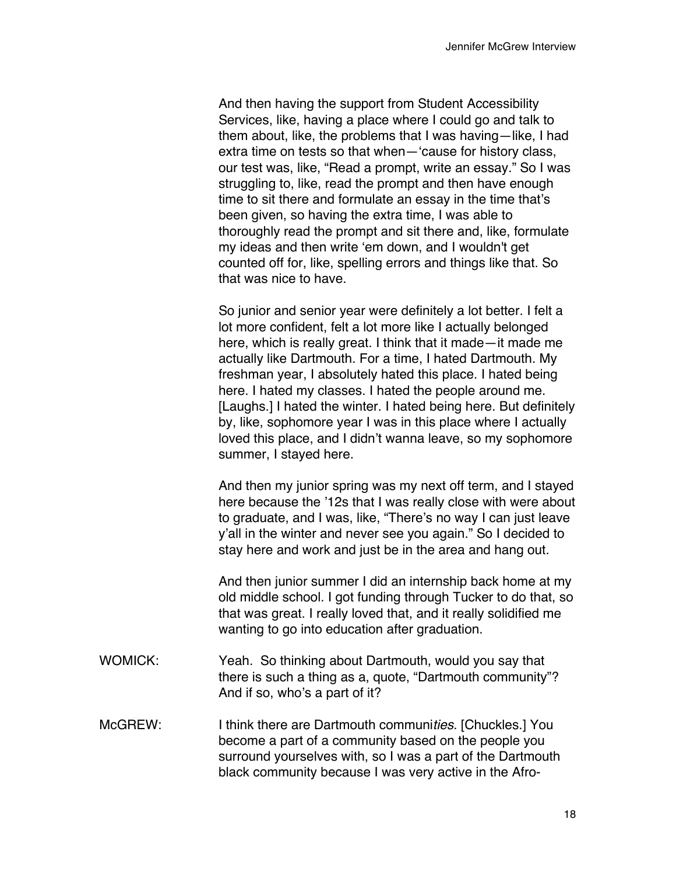And then having the support from Student Accessibility Services, like, having a place where I could go and talk to them about, like, the problems that I was having—like, I had extra time on tests so that when—'cause for history class, our test was, like, "Read a prompt, write an essay." So I was struggling to, like, read the prompt and then have enough time to sit there and formulate an essay in the time that's been given, so having the extra time, I was able to thoroughly read the prompt and sit there and, like, formulate my ideas and then write 'em down, and I wouldn't get counted off for, like, spelling errors and things like that. So that was nice to have.

So junior and senior year were definitely a lot better. I felt a lot more confident, felt a lot more like I actually belonged here, which is really great. I think that it made—it made me actually like Dartmouth. For a time, I hated Dartmouth. My freshman year, I absolutely hated this place. I hated being here. I hated my classes. I hated the people around me. [Laughs.] I hated the winter. I hated being here. But definitely by, like, sophomore year I was in this place where I actually loved this place, and I didn't wanna leave, so my sophomore summer, I stayed here.

And then my junior spring was my next off term, and I stayed here because the '12s that I was really close with were about to graduate, and I was, like, "There's no way I can just leave y'all in the winter and never see you again." So I decided to stay here and work and just be in the area and hang out.

And then junior summer I did an internship back home at my old middle school. I got funding through Tucker to do that, so that was great. I really loved that, and it really solidified me wanting to go into education after graduation.

- WOMICK: Yeah. So thinking about Dartmouth, would you say that there is such a thing as a, quote, "Dartmouth community"? And if so, who's a part of it?
- McGREW: I think there are Dartmouth communi*ties*. [Chuckles.] You become a part of a community based on the people you surround yourselves with, so I was a part of the Dartmouth black community because I was very active in the Afro-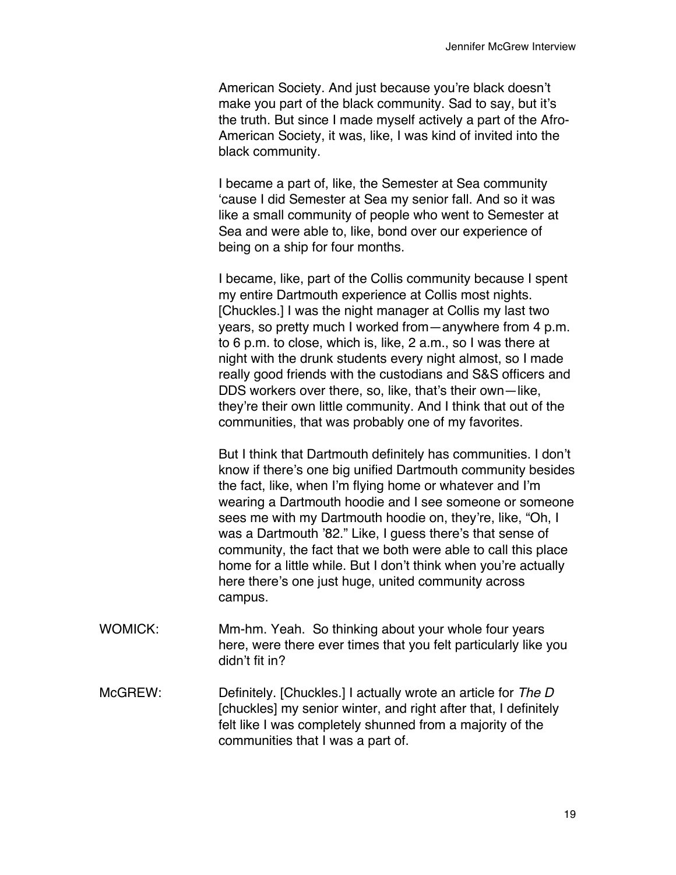American Society. And just because you're black doesn't make you part of the black community. Sad to say, but it's the truth. But since I made myself actively a part of the Afro-American Society, it was, like, I was kind of invited into the black community.

I became a part of, like, the Semester at Sea community 'cause I did Semester at Sea my senior fall. And so it was like a small community of people who went to Semester at Sea and were able to, like, bond over our experience of being on a ship for four months.

I became, like, part of the Collis community because I spent my entire Dartmouth experience at Collis most nights. [Chuckles.] I was the night manager at Collis my last two years, so pretty much I worked from—anywhere from 4 p.m. to 6 p.m. to close, which is, like, 2 a.m., so I was there at night with the drunk students every night almost, so I made really good friends with the custodians and S&S officers and DDS workers over there, so, like, that's their own—like, they're their own little community. And I think that out of the communities, that was probably one of my favorites.

But I think that Dartmouth definitely has communities. I don't know if there's one big unified Dartmouth community besides the fact, like, when I'm flying home or whatever and I'm wearing a Dartmouth hoodie and I see someone or someone sees me with my Dartmouth hoodie on, they're, like, "Oh, I was a Dartmouth '82." Like, I guess there's that sense of community, the fact that we both were able to call this place home for a little while. But I don't think when you're actually here there's one just huge, united community across campus.

- WOMICK: Mm-hm. Yeah. So thinking about your whole four years here, were there ever times that you felt particularly like you didn't fit in?
- McGREW: Definitely. [Chuckles.] I actually wrote an article for *The D* [chuckles] my senior winter, and right after that, I definitely felt like I was completely shunned from a majority of the communities that I was a part of.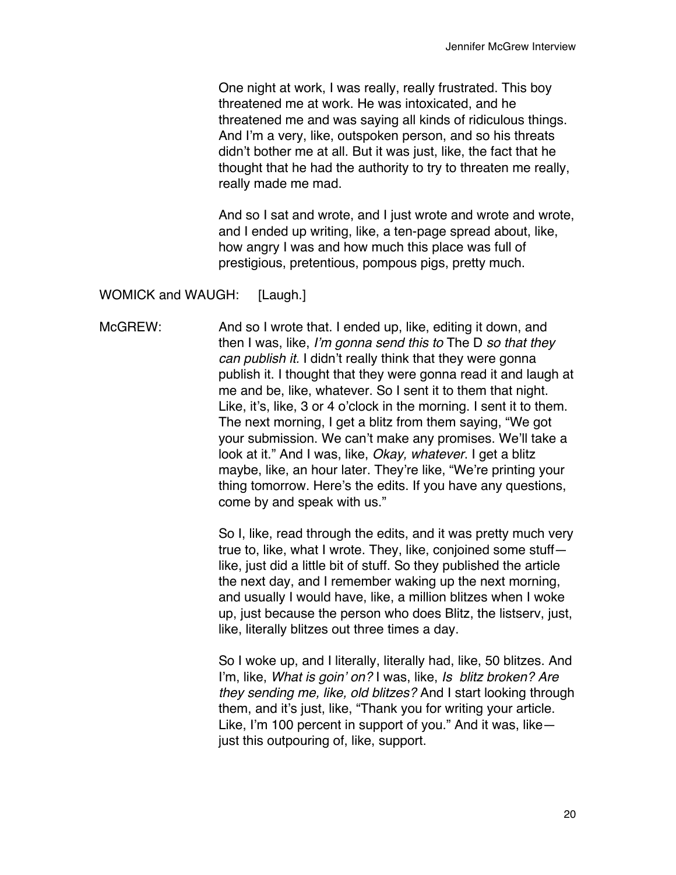One night at work, I was really, really frustrated. This boy threatened me at work. He was intoxicated, and he threatened me and was saying all kinds of ridiculous things. And I'm a very, like, outspoken person, and so his threats didn't bother me at all. But it was just, like, the fact that he thought that he had the authority to try to threaten me really, really made me mad.

And so I sat and wrote, and I just wrote and wrote and wrote, and I ended up writing, like, a ten-page spread about, like, how angry I was and how much this place was full of prestigious, pretentious, pompous pigs, pretty much.

WOMICK and WAUGH: [Laugh.]

McGREW: And so I wrote that. I ended up, like, editing it down, and then I was, like, *I'm gonna send this to* The D *so that they can publish it.* I didn't really think that they were gonna publish it. I thought that they were gonna read it and laugh at me and be, like, whatever. So I sent it to them that night. Like, it's, like, 3 or 4 o'clock in the morning. I sent it to them. The next morning, I get a blitz from them saying, "We got your submission. We can't make any promises. We'll take a look at it." And I was, like, *Okay, whatever*. I get a blitz maybe, like, an hour later. They're like, "We're printing your thing tomorrow. Here's the edits. If you have any questions, come by and speak with us."

> So I, like, read through the edits, and it was pretty much very true to, like, what I wrote. They, like, conjoined some stuff like, just did a little bit of stuff. So they published the article the next day, and I remember waking up the next morning, and usually I would have, like, a million blitzes when I woke up, just because the person who does Blitz, the listserv, just, like, literally blitzes out three times a day.

> So I woke up, and I literally, literally had, like, 50 blitzes. And I'm, like, *What is goin' on?* I was, like, *Is blitz broken? Are they sending me, like, old blitzes?* And I start looking through them, and it's just, like, "Thank you for writing your article. Like, I'm 100 percent in support of you." And it was, like just this outpouring of, like, support.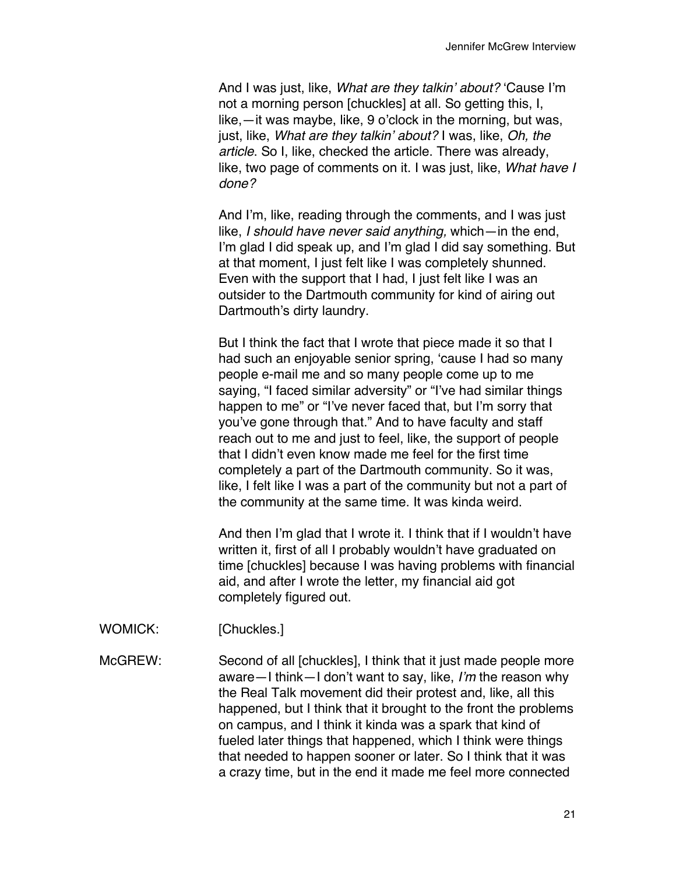And I was just, like, *What are they talkin' about?* 'Cause I'm not a morning person [chuckles] at all. So getting this, I, like,—it was maybe, like, 9 o'clock in the morning, but was, just, like, *What are they talkin' about?* I was, like, *Oh, the article*. So I, like, checked the article. There was already, like, two page of comments on it. I was just, like, *What have I done?*

And I'm, like, reading through the comments, and I was just like, *I should have never said anything,* which—in the end, I'm glad I did speak up, and I'm glad I did say something. But at that moment, I just felt like I was completely shunned. Even with the support that I had, I just felt like I was an outsider to the Dartmouth community for kind of airing out Dartmouth's dirty laundry.

But I think the fact that I wrote that piece made it so that I had such an enjoyable senior spring, 'cause I had so many people e-mail me and so many people come up to me saying, "I faced similar adversity" or "I've had similar things happen to me" or "I've never faced that, but I'm sorry that you've gone through that." And to have faculty and staff reach out to me and just to feel, like, the support of people that I didn't even know made me feel for the first time completely a part of the Dartmouth community. So it was, like, I felt like I was a part of the community but not a part of the community at the same time. It was kinda weird.

And then I'm glad that I wrote it. I think that if I wouldn't have written it, first of all I probably wouldn't have graduated on time [chuckles] because I was having problems with financial aid, and after I wrote the letter, my financial aid got completely figured out.

WOMICK: [Chuckles.]

McGREW: Second of all [chuckles], I think that it just made people more aware—I think—I don't want to say, like, *I'm* the reason why the Real Talk movement did their protest and, like, all this happened, but I think that it brought to the front the problems on campus, and I think it kinda was a spark that kind of fueled later things that happened, which I think were things that needed to happen sooner or later. So I think that it was a crazy time, but in the end it made me feel more connected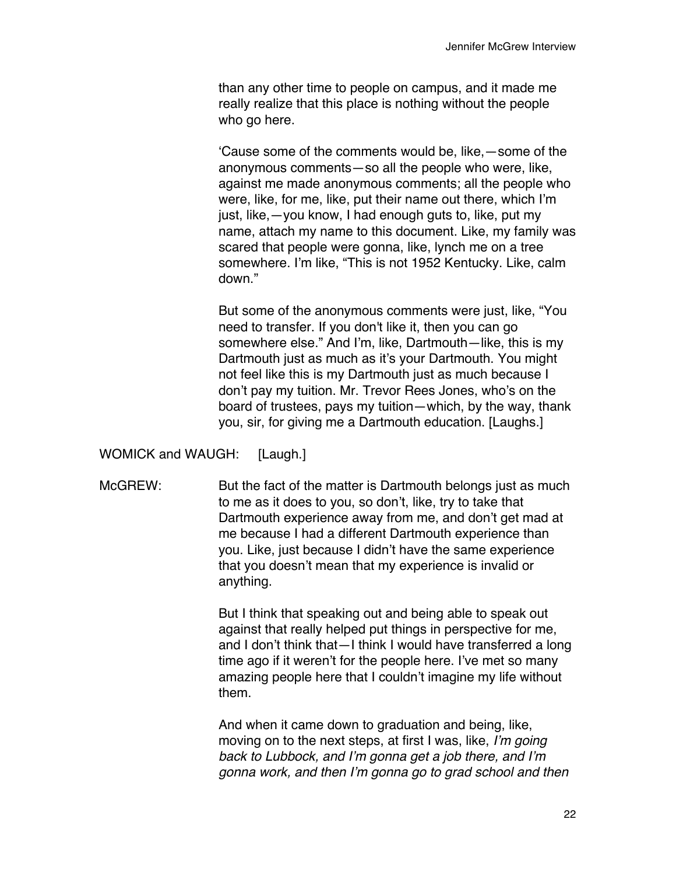than any other time to people on campus, and it made me really realize that this place is nothing without the people who go here.

'Cause some of the comments would be, like,—some of the anonymous comments—so all the people who were, like, against me made anonymous comments; all the people who were, like, for me, like, put their name out there, which I'm just, like,—you know, I had enough guts to, like, put my name, attach my name to this document. Like, my family was scared that people were gonna, like, lynch me on a tree somewhere. I'm like, "This is not 1952 Kentucky. Like, calm down."

But some of the anonymous comments were just, like, "You need to transfer. If you don't like it, then you can go somewhere else." And I'm, like, Dartmouth—like, this is my Dartmouth just as much as it's your Dartmouth. You might not feel like this is my Dartmouth just as much because I don't pay my tuition. Mr. Trevor Rees Jones, who's on the board of trustees, pays my tuition—which, by the way, thank you, sir, for giving me a Dartmouth education. [Laughs.]

WOMICK and WAUGH: [Laugh.]

McGREW: But the fact of the matter is Dartmouth belongs just as much to me as it does to you, so don't, like, try to take that Dartmouth experience away from me, and don't get mad at me because I had a different Dartmouth experience than you. Like, just because I didn't have the same experience that you doesn't mean that my experience is invalid or anything.

> But I think that speaking out and being able to speak out against that really helped put things in perspective for me, and I don't think that—I think I would have transferred a long time ago if it weren't for the people here. I've met so many amazing people here that I couldn't imagine my life without them.

> And when it came down to graduation and being, like, moving on to the next steps, at first I was, like, *I'm going back to Lubbock, and I'm gonna get a job there, and I'm gonna work, and then I'm gonna go to grad school and then*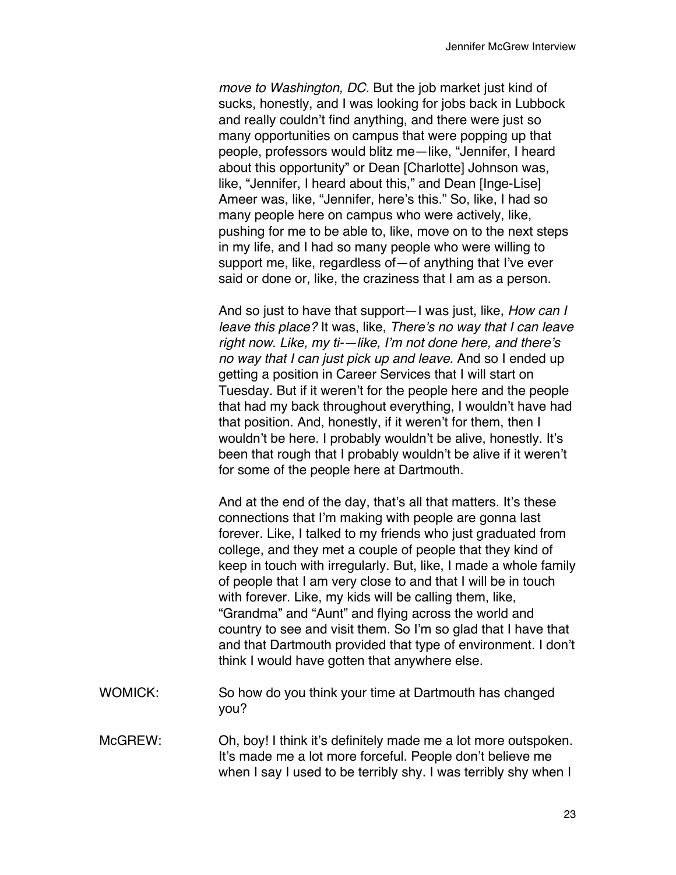*move to Washington, DC.* But the job market just kind of sucks, honestly, and I was looking for jobs back in Lubbock and really couldn't find anything, and there were just so many opportunities on campus that were popping up that people, professors would blitz me—like, "Jennifer, I heard about this opportunity" or Dean [Charlotte] Johnson was, like, "Jennifer, I heard about this," and Dean [Inge-Lise] Ameer was, like, "Jennifer, here's this." So, like, I had so many people here on campus who were actively, like, pushing for me to be able to, like, move on to the next steps in my life, and I had so many people who were willing to support me, like, regardless of—of anything that I've ever said or done or, like, the craziness that I am as a person.

And so just to have that support—I was just, like, *How can I leave this place?* It was, like, *There's no way that I can leave right now. Like, my ti-—like, I'm not done here, and there's no way that I can just pick up and leave.* And so I ended up getting a position in Career Services that I will start on Tuesday. But if it weren't for the people here and the people that had my back throughout everything, I wouldn't have had that position. And, honestly, if it weren't for them, then I wouldn't be here. I probably wouldn't be alive, honestly. It's been that rough that I probably wouldn't be alive if it weren't for some of the people here at Dartmouth.

And at the end of the day, that's all that matters. It's these connections that I'm making with people are gonna last forever. Like, I talked to my friends who just graduated from college, and they met a couple of people that they kind of keep in touch with irregularly. But, like, I made a whole family of people that I am very close to and that I will be in touch with forever. Like, my kids will be calling them, like, "Grandma" and "Aunt" and flying across the world and country to see and visit them. So I'm so glad that I have that and that Dartmouth provided that type of environment. I don't think I would have gotten that anywhere else.

- WOMICK: So how do you think your time at Dartmouth has changed you?
- McGREW: Oh, boy! I think it's definitely made me a lot more outspoken. It's made me a lot more forceful. People don't believe me when I say I used to be terribly shy. I was terribly shy when I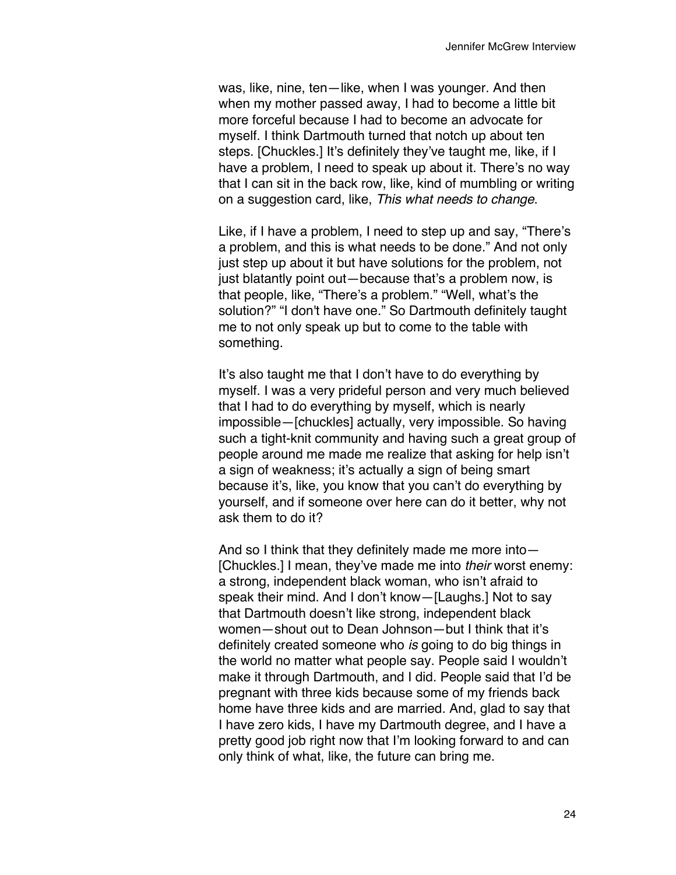was, like, nine, ten—like, when I was younger. And then when my mother passed away, I had to become a little bit more forceful because I had to become an advocate for myself. I think Dartmouth turned that notch up about ten steps. [Chuckles.] It's definitely they've taught me, like, if I have a problem, I need to speak up about it. There's no way that I can sit in the back row, like, kind of mumbling or writing on a suggestion card, like, *This what needs to change*.

Like, if I have a problem, I need to step up and say, "There's a problem, and this is what needs to be done." And not only just step up about it but have solutions for the problem, not just blatantly point out—because that's a problem now, is that people, like, "There's a problem." "Well, what's the solution?" "I don't have one." So Dartmouth definitely taught me to not only speak up but to come to the table with something.

It's also taught me that I don't have to do everything by myself. I was a very prideful person and very much believed that I had to do everything by myself, which is nearly impossible—[chuckles] actually, very impossible. So having such a tight-knit community and having such a great group of people around me made me realize that asking for help isn't a sign of weakness; it's actually a sign of being smart because it's, like, you know that you can't do everything by yourself, and if someone over here can do it better, why not ask them to do it?

And so I think that they definitely made me more into— [Chuckles.] I mean, they've made me into *their* worst enemy: a strong, independent black woman, who isn't afraid to speak their mind. And I don't know—[Laughs.] Not to say that Dartmouth doesn't like strong, independent black women—shout out to Dean Johnson—but I think that it's definitely created someone who *is* going to do big things in the world no matter what people say. People said I wouldn't make it through Dartmouth, and I did. People said that I'd be pregnant with three kids because some of my friends back home have three kids and are married. And, glad to say that I have zero kids, I have my Dartmouth degree, and I have a pretty good job right now that I'm looking forward to and can only think of what, like, the future can bring me.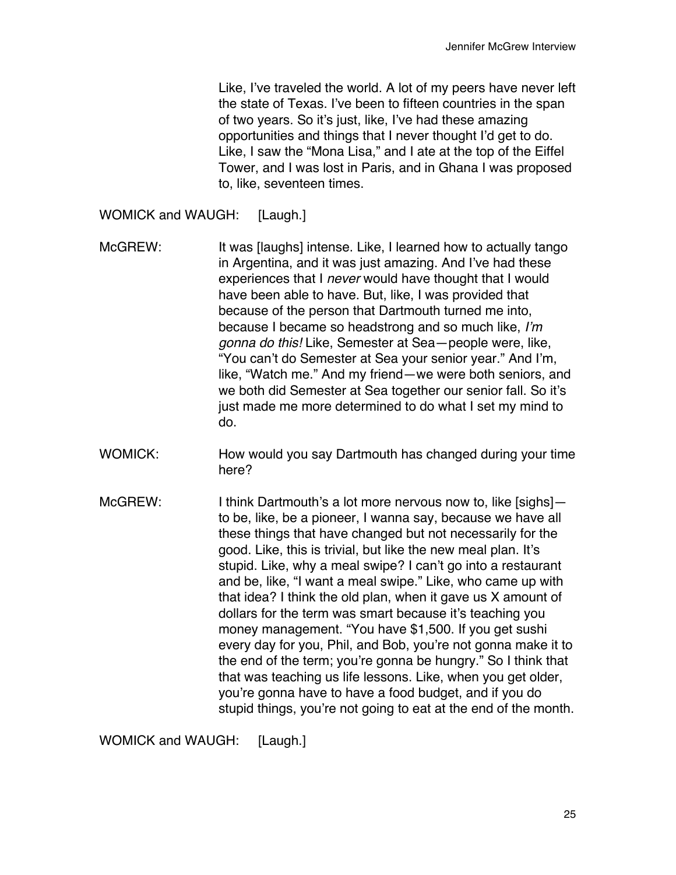Like, I've traveled the world. A lot of my peers have never left the state of Texas. I've been to fifteen countries in the span of two years. So it's just, like, I've had these amazing opportunities and things that I never thought I'd get to do. Like, I saw the "Mona Lisa," and I ate at the top of the Eiffel Tower, and I was lost in Paris, and in Ghana I was proposed to, like, seventeen times.

WOMICK and WAUGH: [Laugh.]

- McGREW: It was [laughs] intense. Like, I learned how to actually tango in Argentina, and it was just amazing. And I've had these experiences that I *never* would have thought that I would have been able to have. But, like, I was provided that because of the person that Dartmouth turned me into, because I became so headstrong and so much like, *I'm gonna do this!* Like, Semester at Sea—people were, like, "You can't do Semester at Sea your senior year." And I'm, like, "Watch me." And my friend—we were both seniors, and we both did Semester at Sea together our senior fall. So it's just made me more determined to do what I set my mind to do.
- WOMICK: How would you say Dartmouth has changed during your time here?
- McGREW: I think Dartmouth's a lot more nervous now to, like [sighs] to be, like, be a pioneer, I wanna say, because we have all these things that have changed but not necessarily for the good. Like, this is trivial, but like the new meal plan. It's stupid. Like, why a meal swipe? I can't go into a restaurant and be, like, "I want a meal swipe." Like, who came up with that idea? I think the old plan, when it gave us X amount of dollars for the term was smart because it's teaching you money management. "You have \$1,500. If you get sushi every day for you, Phil, and Bob, you're not gonna make it to the end of the term; you're gonna be hungry." So I think that that was teaching us life lessons. Like, when you get older, you're gonna have to have a food budget, and if you do stupid things, you're not going to eat at the end of the month.

WOMICK and WAUGH: [Laugh.]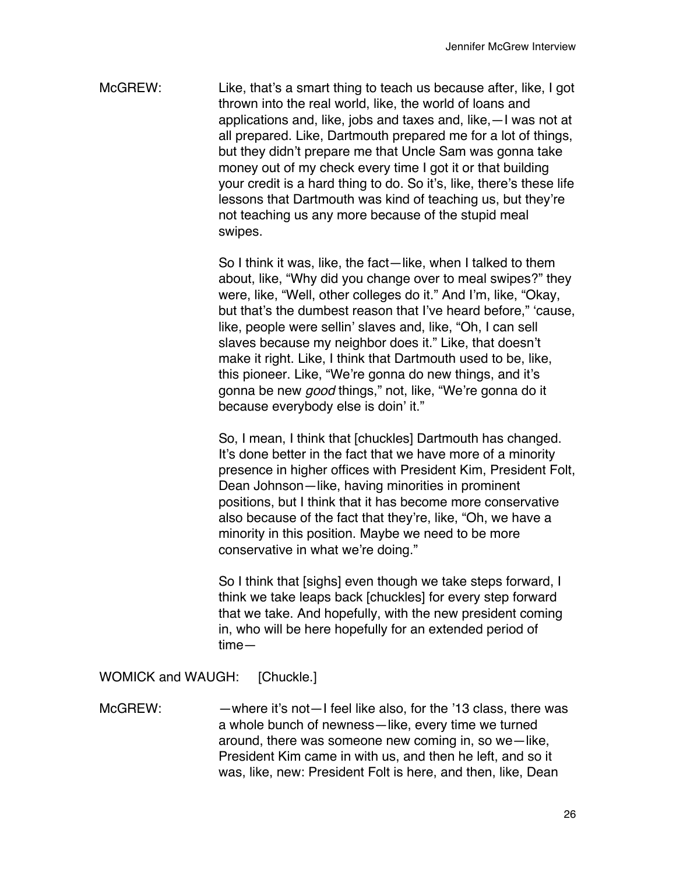McGREW: Like, that's a smart thing to teach us because after, like, I got thrown into the real world, like, the world of loans and applications and, like, jobs and taxes and, like,—I was not at all prepared. Like, Dartmouth prepared me for a lot of things, but they didn't prepare me that Uncle Sam was gonna take money out of my check every time I got it or that building your credit is a hard thing to do. So it's, like, there's these life lessons that Dartmouth was kind of teaching us, but they're not teaching us any more because of the stupid meal swipes.

> So I think it was, like, the fact—like, when I talked to them about, like, "Why did you change over to meal swipes?" they were, like, "Well, other colleges do it." And I'm, like, "Okay, but that's the dumbest reason that I've heard before," 'cause, like, people were sellin' slaves and, like, "Oh, I can sell slaves because my neighbor does it." Like, that doesn't make it right. Like, I think that Dartmouth used to be, like, this pioneer. Like, "We're gonna do new things, and it's gonna be new *good* things," not, like, "We're gonna do it because everybody else is doin' it."

> So, I mean, I think that [chuckles] Dartmouth has changed. It's done better in the fact that we have more of a minority presence in higher offices with President Kim, President Folt, Dean Johnson—like, having minorities in prominent positions, but I think that it has become more conservative also because of the fact that they're, like, "Oh, we have a minority in this position. Maybe we need to be more conservative in what we're doing."

So I think that [sighs] even though we take steps forward, I think we take leaps back [chuckles] for every step forward that we take. And hopefully, with the new president coming in, who will be here hopefully for an extended period of time—

WOMICK and WAUGH: [Chuckle.]

McGREW: —where it's not—I feel like also, for the '13 class, there was a whole bunch of newness—like, every time we turned around, there was someone new coming in, so we—like, President Kim came in with us, and then he left, and so it was, like, new: President Folt is here, and then, like, Dean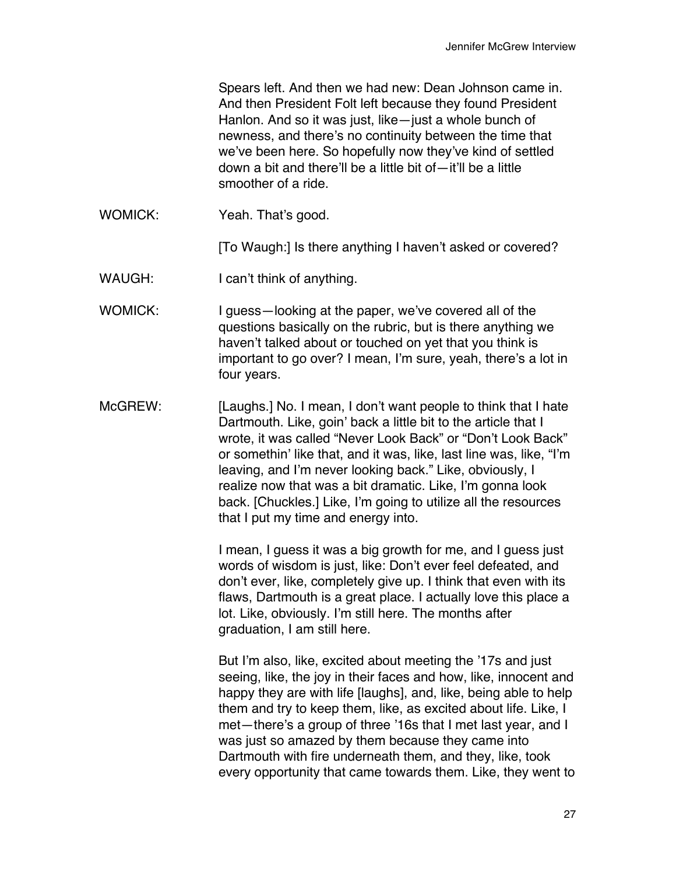Spears left. And then we had new: Dean Johnson came in. And then President Folt left because they found President Hanlon. And so it was just, like—just a whole bunch of newness, and there's no continuity between the time that we've been here. So hopefully now they've kind of settled down a bit and there'll be a little bit of—it'll be a little smoother of a ride.

WOMICK: Yeah. That's good.

[To Waugh:] Is there anything I haven't asked or covered?

- WAUGH: I can't think of anything.
- WOMICK: I guess—looking at the paper, we've covered all of the questions basically on the rubric, but is there anything we haven't talked about or touched on yet that you think is important to go over? I mean, I'm sure, yeah, there's a lot in four years.
- McGREW: [Laughs.] No. I mean, I don't want people to think that I hate Dartmouth. Like, goin' back a little bit to the article that I wrote, it was called "Never Look Back" or "Don't Look Back" or somethin' like that, and it was, like, last line was, like, "I'm leaving, and I'm never looking back." Like, obviously, I realize now that was a bit dramatic. Like, I'm gonna look back. [Chuckles.] Like, I'm going to utilize all the resources that I put my time and energy into.

I mean, I guess it was a big growth for me, and I guess just words of wisdom is just, like: Don't ever feel defeated, and don't ever, like, completely give up. I think that even with its flaws, Dartmouth is a great place. I actually love this place a lot. Like, obviously. I'm still here. The months after graduation, I am still here.

But I'm also, like, excited about meeting the '17s and just seeing, like, the joy in their faces and how, like, innocent and happy they are with life [laughs], and, like, being able to help them and try to keep them, like, as excited about life. Like, I met—there's a group of three '16s that I met last year, and I was just so amazed by them because they came into Dartmouth with fire underneath them, and they, like, took every opportunity that came towards them. Like, they went to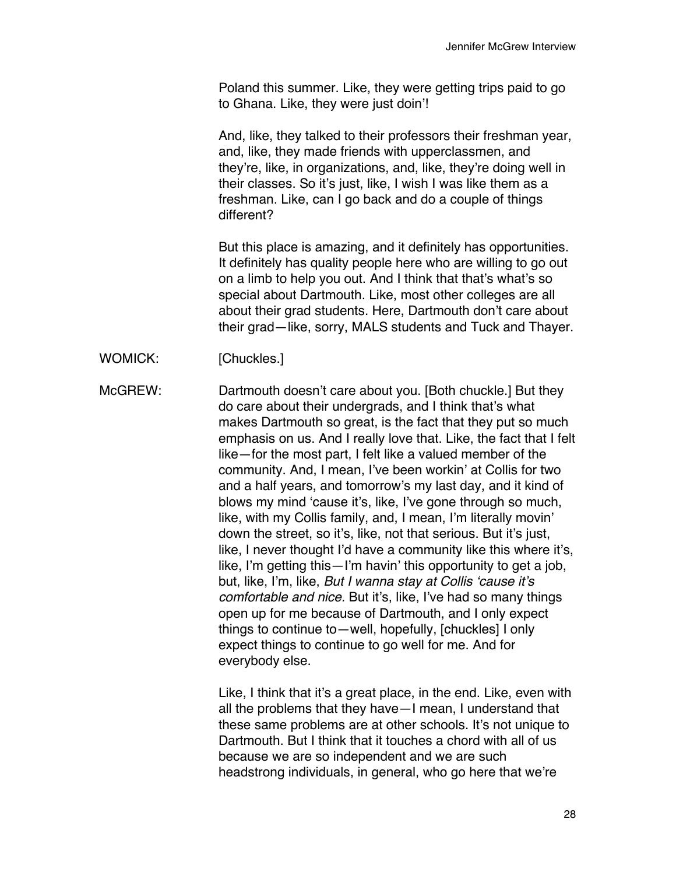Poland this summer. Like, they were getting trips paid to go to Ghana. Like, they were just doin'!

And, like, they talked to their professors their freshman year, and, like, they made friends with upperclassmen, and they're, like, in organizations, and, like, they're doing well in their classes. So it's just, like, I wish I was like them as a freshman. Like, can I go back and do a couple of things different?

But this place is amazing, and it definitely has opportunities. It definitely has quality people here who are willing to go out on a limb to help you out. And I think that that's what's so special about Dartmouth. Like, most other colleges are all about their grad students. Here, Dartmouth don't care about their grad—like, sorry, MALS students and Tuck and Thayer.

- WOMICK: [Chuckles.]
- McGREW: Dartmouth doesn't care about you. [Both chuckle.] But they do care about their undergrads, and I think that's what makes Dartmouth so great, is the fact that they put so much emphasis on us. And I really love that. Like, the fact that I felt like—for the most part, I felt like a valued member of the community. And, I mean, I've been workin' at Collis for two and a half years, and tomorrow's my last day, and it kind of blows my mind 'cause it's, like, I've gone through so much, like, with my Collis family, and, I mean, I'm literally movin' down the street, so it's, like, not that serious. But it's just, like, I never thought I'd have a community like this where it's, like, I'm getting this—I'm havin' this opportunity to get a job, but, like, I'm, like, *But I wanna stay at Collis 'cause it's comfortable and nice.* But it's, like, I've had so many things open up for me because of Dartmouth, and I only expect things to continue to—well, hopefully, [chuckles] I only expect things to continue to go well for me. And for everybody else.

Like, I think that it's a great place, in the end. Like, even with all the problems that they have—I mean, I understand that these same problems are at other schools. It's not unique to Dartmouth. But I think that it touches a chord with all of us because we are so independent and we are such headstrong individuals, in general, who go here that we're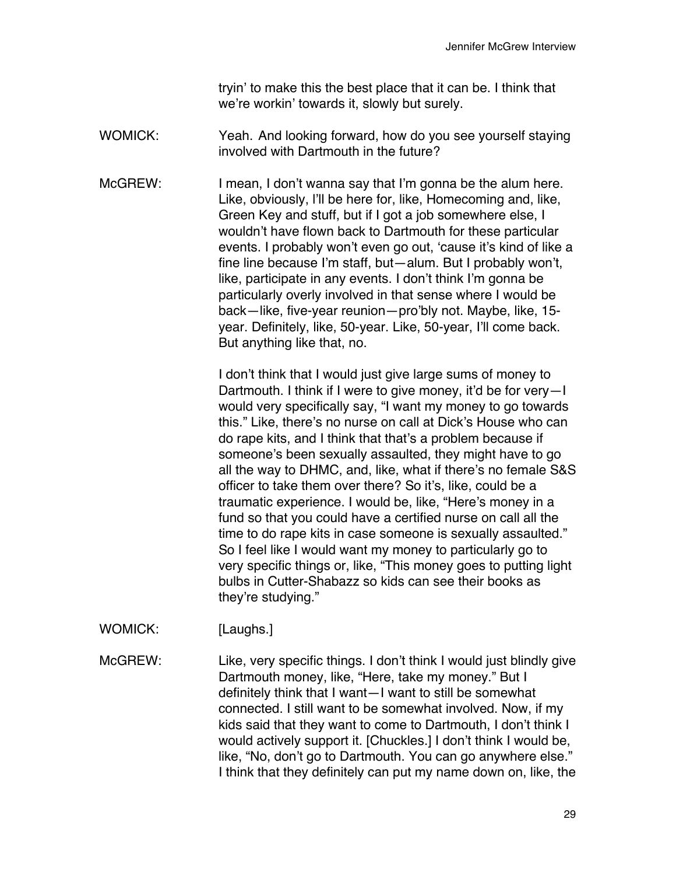tryin' to make this the best place that it can be. I think that we're workin' towards it, slowly but surely.

- WOMICK: Yeah. And looking forward, how do you see yourself staying involved with Dartmouth in the future?
- McGREW: I mean, I don't wanna say that I'm gonna be the alum here. Like, obviously, l'll be here for, like, Homecoming and, like, Green Key and stuff, but if I got a job somewhere else, I wouldn't have flown back to Dartmouth for these particular events. I probably won't even go out, 'cause it's kind of like a fine line because I'm staff, but—alum. But I probably won't, like, participate in any events. I don't think I'm gonna be particularly overly involved in that sense where I would be back—like, five-year reunion—pro'bly not. Maybe, like, 15 year. Definitely, like, 50-year. Like, 50-year, I'll come back. But anything like that, no.

I don't think that I would just give large sums of money to Dartmouth. I think if I were to give money, it'd be for very—I would very specifically say, "I want my money to go towards this." Like, there's no nurse on call at Dick's House who can do rape kits, and I think that that's a problem because if someone's been sexually assaulted, they might have to go all the way to DHMC, and, like, what if there's no female S&S officer to take them over there? So it's, like, could be a traumatic experience. I would be, like, "Here's money in a fund so that you could have a certified nurse on call all the time to do rape kits in case someone is sexually assaulted." So I feel like I would want my money to particularly go to very specific things or, like, "This money goes to putting light bulbs in Cutter-Shabazz so kids can see their books as they're studying."

WOMICK: [Laughs.]

McGREW: Like, very specific things. I don't think I would just blindly give Dartmouth money, like, "Here, take my money." But I definitely think that I want—I want to still be somewhat connected. I still want to be somewhat involved. Now, if my kids said that they want to come to Dartmouth, I don't think I would actively support it. [Chuckles.] I don't think I would be, like, "No, don't go to Dartmouth. You can go anywhere else." I think that they definitely can put my name down on, like, the